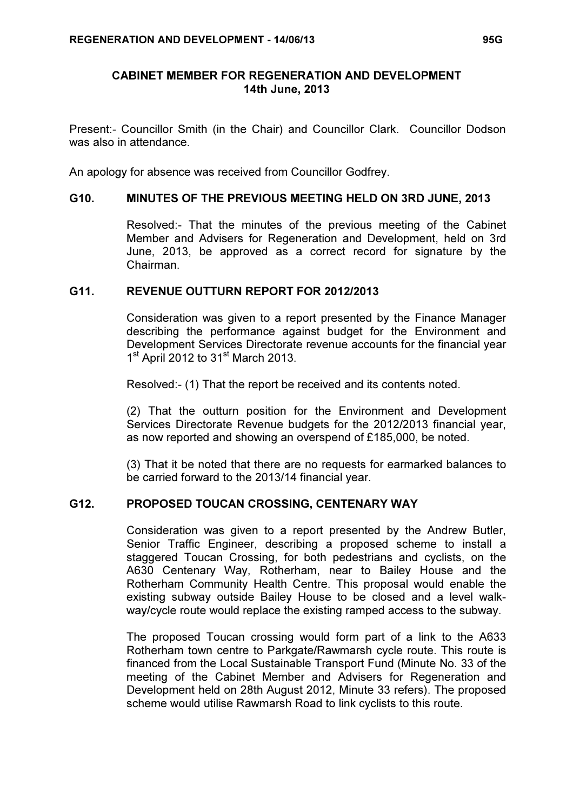### CABINET MEMBER FOR REGENERATION AND DEVELOPMENT 14th June, 2013

Present:- Councillor Smith (in the Chair) and Councillor Clark. Councillor Dodson was also in attendance.

An apology for absence was received from Councillor Godfrey.

#### G10. MINUTES OF THE PREVIOUS MEETING HELD ON 3RD JUNE, 2013

 Resolved:- That the minutes of the previous meeting of the Cabinet Member and Advisers for Regeneration and Development, held on 3rd June, 2013, be approved as a correct record for signature by the Chairman.

## G11. REVENUE OUTTURN REPORT FOR 2012/2013

 Consideration was given to a report presented by the Finance Manager describing the performance against budget for the Environment and Development Services Directorate revenue accounts for the financial year 1<sup>st</sup> April 2012 to 31<sup>st</sup> March 2013.

Resolved:- (1) That the report be received and its contents noted.

(2) That the outturn position for the Environment and Development Services Directorate Revenue budgets for the 2012/2013 financial year, as now reported and showing an overspend of £185,000, be noted.

(3) That it be noted that there are no requests for earmarked balances to be carried forward to the 2013/14 financial year.

#### G12. PROPOSED TOUCAN CROSSING, CENTENARY WAY

 Consideration was given to a report presented by the Andrew Butler, Senior Traffic Engineer, describing a proposed scheme to install a staggered Toucan Crossing, for both pedestrians and cyclists, on the A630 Centenary Way, Rotherham, near to Bailey House and the Rotherham Community Health Centre. This proposal would enable the existing subway outside Bailey House to be closed and a level walkway/cycle route would replace the existing ramped access to the subway.

The proposed Toucan crossing would form part of a link to the A633 Rotherham town centre to Parkgate/Rawmarsh cycle route. This route is financed from the Local Sustainable Transport Fund (Minute No. 33 of the meeting of the Cabinet Member and Advisers for Regeneration and Development held on 28th August 2012, Minute 33 refers). The proposed scheme would utilise Rawmarsh Road to link cyclists to this route.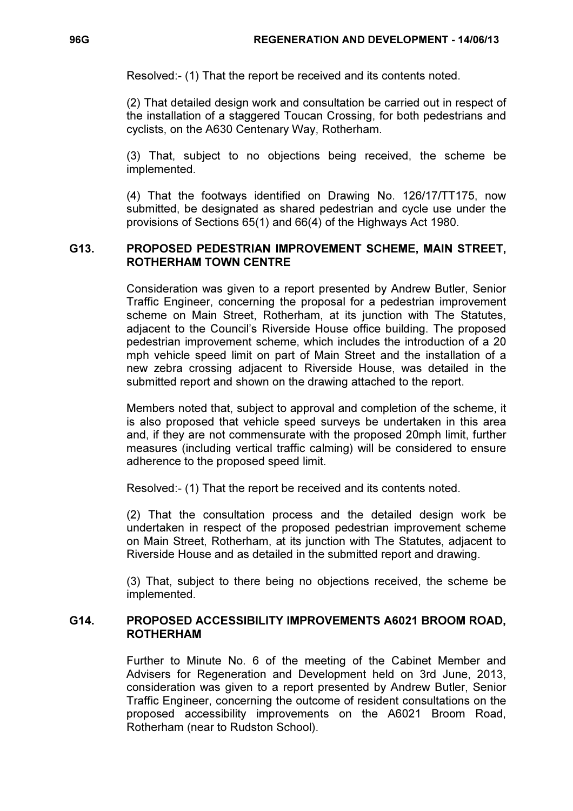Resolved:- (1) That the report be received and its contents noted.

(2) That detailed design work and consultation be carried out in respect of the installation of a staggered Toucan Crossing, for both pedestrians and cyclists, on the A630 Centenary Way, Rotherham.

(3) That, subject to no objections being received, the scheme be implemented.

(4) That the footways identified on Drawing No. 126/17/TT175, now submitted, be designated as shared pedestrian and cycle use under the provisions of Sections 65(1) and 66(4) of the Highways Act 1980.

## G13. PROPOSED PEDESTRIAN IMPROVEMENT SCHEME, MAIN STREET, ROTHERHAM TOWN CENTRE

 Consideration was given to a report presented by Andrew Butler, Senior Traffic Engineer, concerning the proposal for a pedestrian improvement scheme on Main Street, Rotherham, at its junction with The Statutes, adjacent to the Council's Riverside House office building. The proposed pedestrian improvement scheme, which includes the introduction of a 20 mph vehicle speed limit on part of Main Street and the installation of a new zebra crossing adjacent to Riverside House, was detailed in the submitted report and shown on the drawing attached to the report.

Members noted that, subject to approval and completion of the scheme, it is also proposed that vehicle speed surveys be undertaken in this area and, if they are not commensurate with the proposed 20mph limit, further measures (including vertical traffic calming) will be considered to ensure adherence to the proposed speed limit.

Resolved:- (1) That the report be received and its contents noted.

(2) That the consultation process and the detailed design work be undertaken in respect of the proposed pedestrian improvement scheme on Main Street, Rotherham, at its junction with The Statutes, adjacent to Riverside House and as detailed in the submitted report and drawing.

(3) That, subject to there being no objections received, the scheme be implemented.

# G14. PROPOSED ACCESSIBILITY IMPROVEMENTS A6021 BROOM ROAD, ROTHERHAM

 Further to Minute No. 6 of the meeting of the Cabinet Member and Advisers for Regeneration and Development held on 3rd June, 2013, consideration was given to a report presented by Andrew Butler, Senior Traffic Engineer, concerning the outcome of resident consultations on the proposed accessibility improvements on the A6021 Broom Road, Rotherham (near to Rudston School).